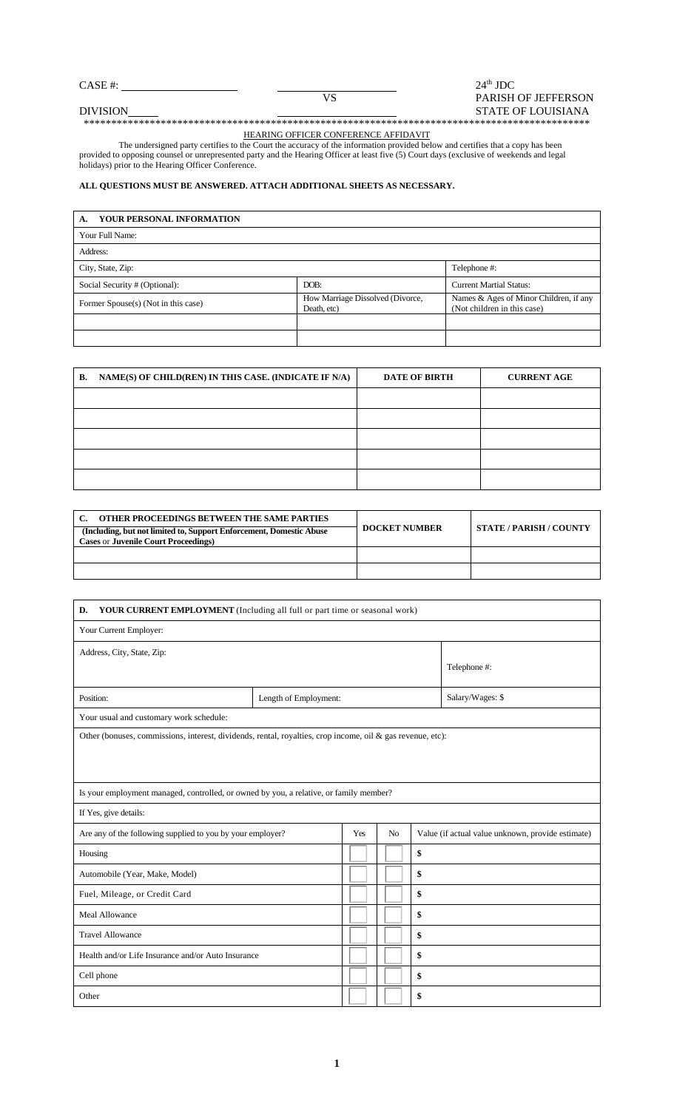# $\overline{V}$ CASE #:  $24^{\text{th}}$  JDC  $24^{\text{th}}$  JDC  $P$ ARISH VS PARISH OF JEFFERSON STATE OF LOUISIANA

\*\*\*\*\*\*\*\*\*\*\*\*\*\*\*\*\*\*\*\*\*\*\*\*\*\*\*\*\*\*\*\*\*\*\*\*\*\*\*\*\*\*\*\*\*\*\*\*\*\*\*\*\*\*\*\*\*\*\*\*\*\*\*\*\*\*\*\*\*\*\*\*\*\*\*\*\*\*\*\*\*\*\*\*\*\*\*\*\*\*\*\*

#### HEARING OFFICER CONFERENCE AFFIDAVIT

 The undersigned party certifies to the Court the accuracy of the information provided below and certifies that a copy has been provided to opposing counsel or unrepresented party and the Hearing Officer at least five (5) Court days (exclusive of weekends and legal holidays) prior to the Hearing Officer Conference.

## **ALL QUESTIONS MUST BE ANSWERED. ATTACH ADDITIONAL SHEETS AS NECESSARY.**

| YOUR PERSONAL INFORMATION<br>А.     |                                                 |                                                                       |
|-------------------------------------|-------------------------------------------------|-----------------------------------------------------------------------|
| Your Full Name:                     |                                                 |                                                                       |
| Address:                            |                                                 |                                                                       |
| City, State, Zip:                   |                                                 | Telephone #:                                                          |
| Social Security # (Optional):       | DOB:                                            | <b>Current Martial Status:</b>                                        |
| Former Spouse(s) (Not in this case) | How Marriage Dissolved (Divorce,<br>Death, etc) | Names & Ages of Minor Children, if any<br>(Not children in this case) |
|                                     |                                                 |                                                                       |
|                                     |                                                 |                                                                       |

| B. NAME(S) OF CHILD(REN) IN THIS CASE. (INDICATE IF N/A) | <b>DATE OF BIRTH</b> | <b>CURRENT AGE</b> |
|----------------------------------------------------------|----------------------|--------------------|
|                                                          |                      |                    |
|                                                          |                      |                    |
|                                                          |                      |                    |
|                                                          |                      |                    |
|                                                          |                      |                    |

| OTHER PROCEEDINGS BETWEEN THE SAME PARTIES                          |                      |                                |
|---------------------------------------------------------------------|----------------------|--------------------------------|
| (Including, but not limited to, Support Enforcement, Domestic Abuse | <b>DOCKET NUMBER</b> | <b>STATE / PARISH / COUNTY</b> |
| <b>Cases or Juvenile Court Proceedings)</b>                         |                      |                                |
|                                                                     |                      |                                |
|                                                                     |                      |                                |

| <b>YOUR CURRENT EMPLOYMENT</b> (Including all full or part time or seasonal work)<br>D.                    |                       |     |                |                                                   |  |  |
|------------------------------------------------------------------------------------------------------------|-----------------------|-----|----------------|---------------------------------------------------|--|--|
| Your Current Employer:                                                                                     |                       |     |                |                                                   |  |  |
| Address, City, State, Zip:                                                                                 | Telephone #:          |     |                |                                                   |  |  |
| Position:                                                                                                  | Length of Employment: |     |                | Salary/Wages: \$                                  |  |  |
| Your usual and customary work schedule:                                                                    |                       |     |                |                                                   |  |  |
| Other (bonuses, commissions, interest, dividends, rental, royalties, crop income, oil & gas revenue, etc): |                       |     |                |                                                   |  |  |
| Is your employment managed, controlled, or owned by you, a relative, or family member?                     |                       |     |                |                                                   |  |  |
| If Yes, give details:                                                                                      |                       |     |                |                                                   |  |  |
| Are any of the following supplied to you by your employer?                                                 |                       | Yes | N <sub>0</sub> | Value (if actual value unknown, provide estimate) |  |  |
| Housing                                                                                                    |                       |     |                | \$                                                |  |  |
| Automobile (Year, Make, Model)                                                                             |                       |     |                | \$                                                |  |  |
| Fuel, Mileage, or Credit Card                                                                              |                       |     |                | \$                                                |  |  |
| <b>Meal Allowance</b>                                                                                      |                       |     |                | \$                                                |  |  |
| <b>Travel Allowance</b><br>\$                                                                              |                       |     |                |                                                   |  |  |
| Health and/or Life Insurance and/or Auto Insurance                                                         |                       |     |                | \$                                                |  |  |
| Cell phone                                                                                                 |                       |     |                | \$                                                |  |  |
| Other                                                                                                      |                       |     |                | \$                                                |  |  |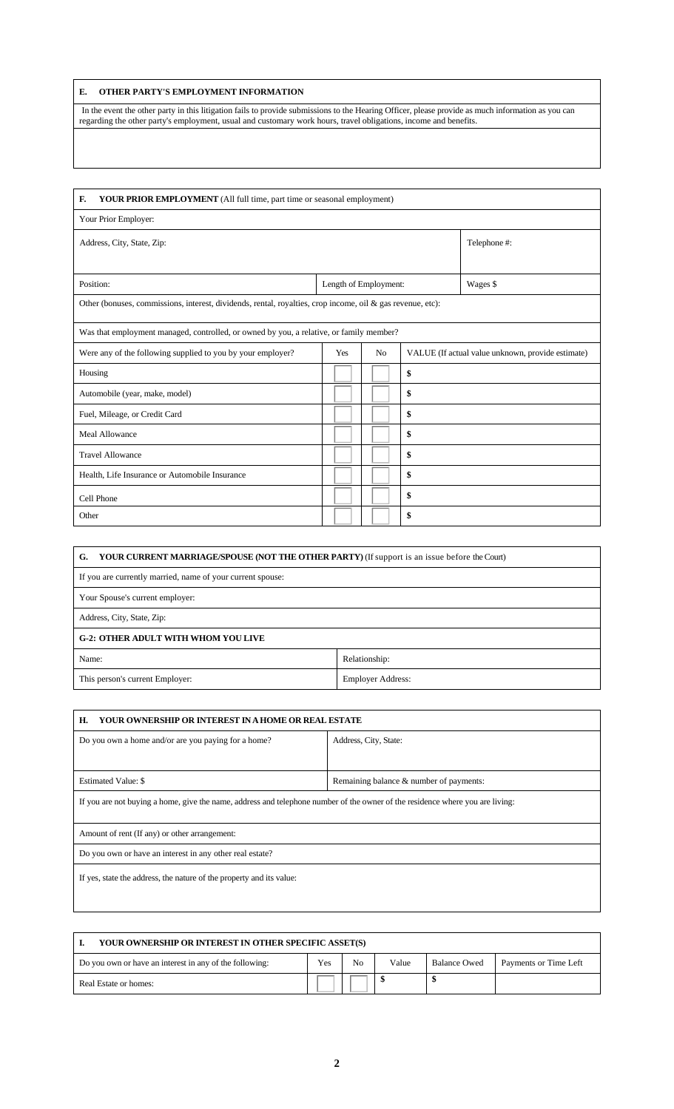## **E. OTHER PARTY'S EMPLOYMENT INFORMATION**

In the event the other party in this litigation fails to provide submissions to the Hearing Officer, please provide as much information as you can regarding the other party's employment, usual and customary work hours, travel obligations, income and benefits.

| F.<br>YOUR PRIOR EMPLOYMENT (All full time, part time or seasonal employment)                              |                       |    |    |                                                   |  |  |  |
|------------------------------------------------------------------------------------------------------------|-----------------------|----|----|---------------------------------------------------|--|--|--|
| Your Prior Employer:                                                                                       |                       |    |    |                                                   |  |  |  |
| Address, City, State, Zip:                                                                                 |                       |    |    | Telephone #:                                      |  |  |  |
|                                                                                                            |                       |    |    |                                                   |  |  |  |
| Position:                                                                                                  | Length of Employment: |    |    | Wages \$                                          |  |  |  |
| Other (bonuses, commissions, interest, dividends, rental, royalties, crop income, oil & gas revenue, etc): |                       |    |    |                                                   |  |  |  |
| Was that employment managed, controlled, or owned by you, a relative, or family member?                    |                       |    |    |                                                   |  |  |  |
| Were any of the following supplied to you by your employer?                                                | Yes                   | No |    | VALUE (If actual value unknown, provide estimate) |  |  |  |
| Housing                                                                                                    |                       |    | \$ |                                                   |  |  |  |
| Automobile (year, make, model)                                                                             |                       |    | \$ |                                                   |  |  |  |
| Fuel, Mileage, or Credit Card                                                                              |                       |    | \$ |                                                   |  |  |  |
| <b>Meal Allowance</b>                                                                                      |                       |    | \$ |                                                   |  |  |  |
| <b>Travel Allowance</b>                                                                                    |                       |    | \$ |                                                   |  |  |  |
| Health, Life Insurance or Automobile Insurance                                                             |                       |    | \$ |                                                   |  |  |  |
| Cell Phone                                                                                                 |                       |    | \$ |                                                   |  |  |  |
| Other                                                                                                      |                       |    | \$ |                                                   |  |  |  |

| <b>YOUR CURRENT MARRIAGE/SPOUSE (NOT THE OTHER PARTY)</b> (If support is an issue before the Court)<br>G. |  |  |  |
|-----------------------------------------------------------------------------------------------------------|--|--|--|
| If you are currently married, name of your current spouse:                                                |  |  |  |
| Your Spouse's current employer:                                                                           |  |  |  |
| Address, City, State, Zip:                                                                                |  |  |  |
| <b>G-2: OTHER ADULT WITH WHOM YOU LIVE</b>                                                                |  |  |  |
| Name:<br>Relationship:                                                                                    |  |  |  |
| This person's current Employer:<br><b>Employer Address:</b>                                               |  |  |  |

| H.<br><b>YOUR OWNERSHIP OR INTEREST IN A HOME OR REAL ESTATE</b>                                                              |                       |  |  |  |  |  |  |
|-------------------------------------------------------------------------------------------------------------------------------|-----------------------|--|--|--|--|--|--|
| Do you own a home and/or are you paying for a home?                                                                           | Address, City, State: |  |  |  |  |  |  |
|                                                                                                                               |                       |  |  |  |  |  |  |
| <b>Estimated Value: \$</b><br>Remaining balance & number of payments:                                                         |                       |  |  |  |  |  |  |
| If you are not buying a home, give the name, address and telephone number of the owner of the residence where you are living: |                       |  |  |  |  |  |  |
| Amount of rent (If any) or other arrangement:                                                                                 |                       |  |  |  |  |  |  |
| Do you own or have an interest in any other real estate?                                                                      |                       |  |  |  |  |  |  |
| If yes, state the address, the nature of the property and its value:                                                          |                       |  |  |  |  |  |  |

| YOUR OWNERSHIP OR INTEREST IN OTHER SPECIFIC ASSET(S)                |  |       |                     |                       |  |  |  |  |
|----------------------------------------------------------------------|--|-------|---------------------|-----------------------|--|--|--|--|
| Yes<br>No<br>Do you own or have an interest in any of the following: |  | Value | <b>Balance Owed</b> | Payments or Time Left |  |  |  |  |
| Real Estate or homes:                                                |  |       |                     |                       |  |  |  |  |

 $\lfloor$ 

 $\mathbf{r}$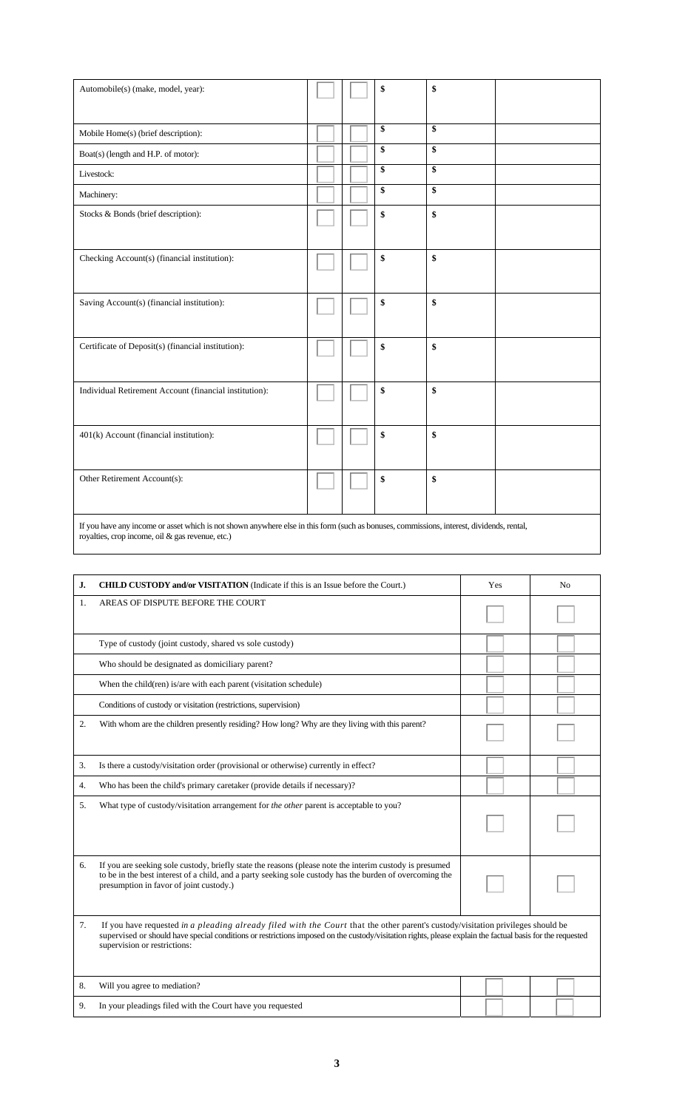| Automobile(s) (make, model, year):                                                                                                        |  | \$<br>\$ |  |
|-------------------------------------------------------------------------------------------------------------------------------------------|--|----------|--|
|                                                                                                                                           |  |          |  |
| Mobile Home(s) (brief description):                                                                                                       |  | \$<br>\$ |  |
| Boat(s) (length and H.P. of motor):                                                                                                       |  | \$<br>\$ |  |
| Livestock:                                                                                                                                |  | \$<br>\$ |  |
| Machinery:                                                                                                                                |  | \$<br>\$ |  |
| Stocks & Bonds (brief description):                                                                                                       |  | \$<br>\$ |  |
|                                                                                                                                           |  |          |  |
| Checking Account(s) (financial institution):                                                                                              |  | \$<br>\$ |  |
|                                                                                                                                           |  |          |  |
| Saving Account(s) (financial institution):                                                                                                |  | \$<br>\$ |  |
|                                                                                                                                           |  |          |  |
| Certificate of Deposit(s) (financial institution):                                                                                        |  | \$<br>\$ |  |
|                                                                                                                                           |  |          |  |
| Individual Retirement Account (financial institution):                                                                                    |  | \$<br>\$ |  |
|                                                                                                                                           |  |          |  |
| 401(k) Account (financial institution):                                                                                                   |  | \$<br>\$ |  |
|                                                                                                                                           |  |          |  |
| Other Retirement Account(s):                                                                                                              |  | \$<br>\$ |  |
|                                                                                                                                           |  |          |  |
| If you have any income or asset which is not shown anywhere else in this form (such as bonuses, commissions, interest, dividends, rental, |  |          |  |

royalties, crop income, oil & gas revenue, etc.)

| J. | <b>CHILD CUSTODY and/or VISITATION</b> (Indicate if this is an Issue before the Court.)                                                                                                                                                                                                                                       | Yes |  | N <sub>0</sub> |  |
|----|-------------------------------------------------------------------------------------------------------------------------------------------------------------------------------------------------------------------------------------------------------------------------------------------------------------------------------|-----|--|----------------|--|
| 1. | AREAS OF DISPUTE BEFORE THE COURT                                                                                                                                                                                                                                                                                             |     |  |                |  |
|    | Type of custody (joint custody, shared vs sole custody)                                                                                                                                                                                                                                                                       |     |  |                |  |
|    | Who should be designated as domiciliary parent?                                                                                                                                                                                                                                                                               |     |  |                |  |
|    | When the child (ren) is/are with each parent (visitation schedule)                                                                                                                                                                                                                                                            |     |  |                |  |
|    | Conditions of custody or visitation (restrictions, supervision)                                                                                                                                                                                                                                                               |     |  |                |  |
| 2. | With whom are the children presently residing? How long? Why are they living with this parent?                                                                                                                                                                                                                                |     |  |                |  |
| 3. | Is there a custody/visitation order (provisional or otherwise) currently in effect?                                                                                                                                                                                                                                           |     |  |                |  |
| 4. | Who has been the child's primary caretaker (provide details if necessary)?                                                                                                                                                                                                                                                    |     |  |                |  |
| 5. | What type of custody/visitation arrangement for the other parent is acceptable to you?                                                                                                                                                                                                                                        |     |  |                |  |
| 6. | If you are seeking sole custody, briefly state the reasons (please note the interim custody is presumed<br>to be in the best interest of a child, and a party seeking sole custody has the burden of overcoming the<br>presumption in favor of joint custody.)                                                                |     |  |                |  |
| 7. | If you have requested in a pleading already filed with the Court that the other parent's custody/visitation privileges should be<br>supervised or should have special conditions or restrictions imposed on the custody/visitation rights, please explain the factual basis for the requested<br>supervision or restrictions: |     |  |                |  |
| 8. | Will you agree to mediation?                                                                                                                                                                                                                                                                                                  |     |  |                |  |
| 9. | In your pleadings filed with the Court have you requested                                                                                                                                                                                                                                                                     |     |  |                |  |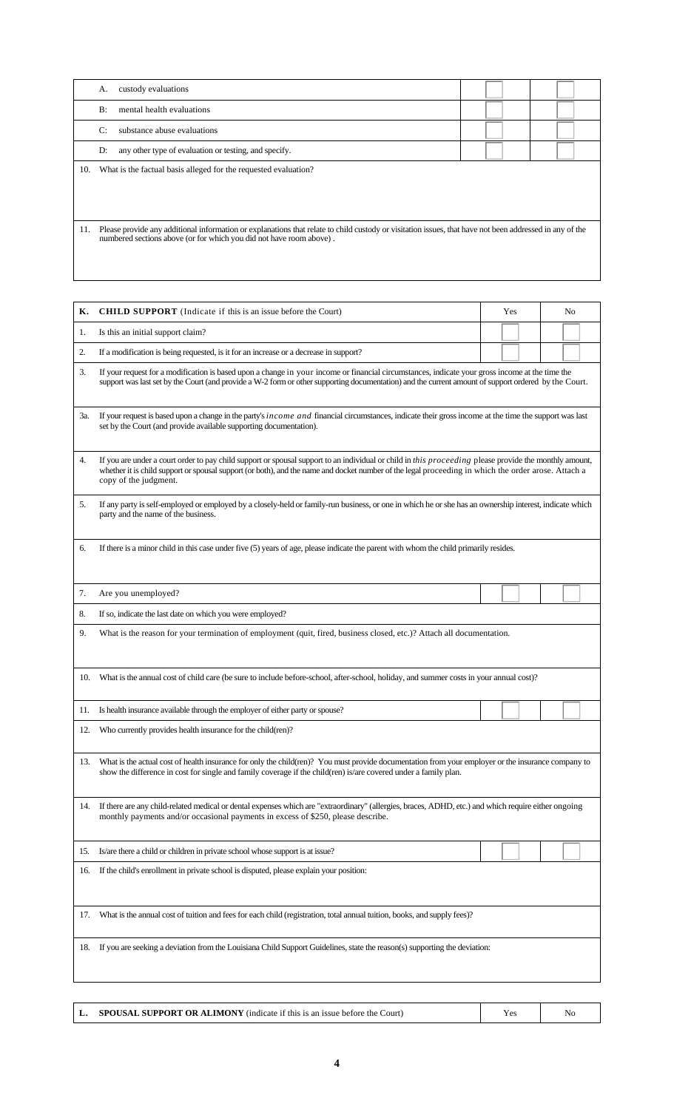|     | custody evaluations<br>А.                                                                                                                                                                                                      |  |
|-----|--------------------------------------------------------------------------------------------------------------------------------------------------------------------------------------------------------------------------------|--|
|     | mental health evaluations<br>B:                                                                                                                                                                                                |  |
|     | C:<br>substance abuse evaluations                                                                                                                                                                                              |  |
|     | any other type of evaluation or testing, and specify.<br>D:                                                                                                                                                                    |  |
| 10. | What is the factual basis alleged for the requested evaluation?                                                                                                                                                                |  |
|     |                                                                                                                                                                                                                                |  |
|     |                                                                                                                                                                                                                                |  |
| 11. | Please provide any additional information or explanations that relate to child custody or visitation issues, that have not been addressed in any of the<br>numbered sections above (or for which you did not have room above). |  |

| К.  | <b>CHILD SUPPORT</b> (Indicate if this is an issue before the Court)                                                                                                                                                                                                                                                                   |  | Yes |  |  | No |  |  |
|-----|----------------------------------------------------------------------------------------------------------------------------------------------------------------------------------------------------------------------------------------------------------------------------------------------------------------------------------------|--|-----|--|--|----|--|--|
| 1.  | Is this an initial support claim?                                                                                                                                                                                                                                                                                                      |  |     |  |  |    |  |  |
| 2.  | If a modification is being requested, is it for an increase or a decrease in support?                                                                                                                                                                                                                                                  |  |     |  |  |    |  |  |
| 3.  | If your request for a modification is based upon a change in your income or financial circumstances, indicate your gross income at the time the<br>support was last set by the Court (and provide a W-2 form or other supporting documentation) and the current amount of support ordered by the Court.                                |  |     |  |  |    |  |  |
| 3a. | If your request is based upon a change in the party's <i>income and</i> financial circumstances, indicate their gross income at the time the support was last<br>set by the Court (and provide available supporting documentation).                                                                                                    |  |     |  |  |    |  |  |
| 4.  | If you are under a court order to pay child support or spousal support to an individual or child in this proceeding please provide the monthly amount,<br>whether it is child support or spousal support (or both), and the name and docket number of the legal proceeding in which the order arose. Attach a<br>copy of the judgment. |  |     |  |  |    |  |  |
| 5.  | If any party is self-employed or employed by a closely-held or family-run business, or one in which he or she has an ownership interest, indicate which<br>party and the name of the business.                                                                                                                                         |  |     |  |  |    |  |  |
| 6.  | If there is a minor child in this case under five (5) years of age, please indicate the parent with whom the child primarily resides.                                                                                                                                                                                                  |  |     |  |  |    |  |  |
| 7.  | Are you unemployed?                                                                                                                                                                                                                                                                                                                    |  |     |  |  |    |  |  |
| 8.  | If so, indicate the last date on which you were employed?                                                                                                                                                                                                                                                                              |  |     |  |  |    |  |  |
| 9.  | What is the reason for your termination of employment (quit, fired, business closed, etc.)? Attach all documentation.                                                                                                                                                                                                                  |  |     |  |  |    |  |  |
| 10. | What is the annual cost of child care (be sure to include before-school, after-school, holiday, and summer costs in your annual cost)?                                                                                                                                                                                                 |  |     |  |  |    |  |  |
| 11. | Is health insurance available through the employer of either party or spouse?                                                                                                                                                                                                                                                          |  |     |  |  |    |  |  |
| 12. | Who currently provides health insurance for the child(ren)?                                                                                                                                                                                                                                                                            |  |     |  |  |    |  |  |
| 13. | What is the actual cost of health insurance for only the child(ren)? You must provide documentation from your employer or the insurance company to<br>show the difference in cost for single and family coverage if the child(ren) is/are covered under a family plan.                                                                 |  |     |  |  |    |  |  |
| 14. | If there are any child-related medical or dental expenses which are "extraordinary" (allergies, braces, ADHD, etc.) and which require either ongoing<br>monthly payments and/or occasional payments in excess of \$250, please describe.                                                                                               |  |     |  |  |    |  |  |
| 15. | Is/are there a child or children in private school whose support is at issue?                                                                                                                                                                                                                                                          |  |     |  |  |    |  |  |
| 16. | If the child's enrollment in private school is disputed, please explain your position:                                                                                                                                                                                                                                                 |  |     |  |  |    |  |  |
| 17. | What is the annual cost of tuition and fees for each child (registration, total annual tuition, books, and supply fees)?                                                                                                                                                                                                               |  |     |  |  |    |  |  |
| 18. | If you are seeking a deviation from the Louisiana Child Support Guidelines, state the reason(s) supporting the deviation:                                                                                                                                                                                                              |  |     |  |  |    |  |  |

|  | <b>SPOUSAL SUPPORT OR ALIMONY</b> (indicate if this is an issue before the Court) | Y e | Nc |
|--|-----------------------------------------------------------------------------------|-----|----|
|--|-----------------------------------------------------------------------------------|-----|----|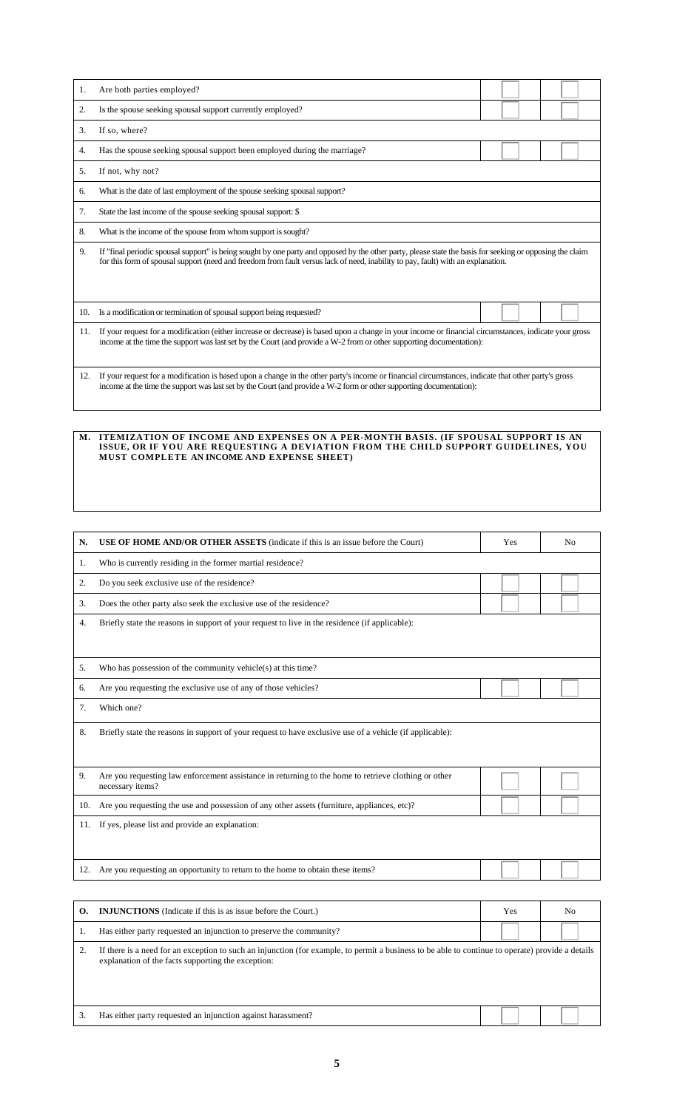| 1.  | Are both parties employed?                                                                                                                                                                                                                                                                    |  |  |  |  |  |  |
|-----|-----------------------------------------------------------------------------------------------------------------------------------------------------------------------------------------------------------------------------------------------------------------------------------------------|--|--|--|--|--|--|
| 2.  | Is the spouse seeking spousal support currently employed?                                                                                                                                                                                                                                     |  |  |  |  |  |  |
| 3.  | If so, where?                                                                                                                                                                                                                                                                                 |  |  |  |  |  |  |
| 4.  | Has the spouse seeking spousal support been employed during the marriage?                                                                                                                                                                                                                     |  |  |  |  |  |  |
| 5.  | If not, why not?                                                                                                                                                                                                                                                                              |  |  |  |  |  |  |
| 6.  | What is the date of last employment of the spouse seeking spousal support?                                                                                                                                                                                                                    |  |  |  |  |  |  |
| 7.  | State the last income of the spouse seeking spousal support: \$                                                                                                                                                                                                                               |  |  |  |  |  |  |
| 8.  | What is the income of the spouse from whom support is sought?                                                                                                                                                                                                                                 |  |  |  |  |  |  |
| 9.  | If "final periodic spousal support" is being sought by one party and opposed by the other party, please state the basis for seeking or opposing the claim<br>for this form of spousal support (need and freedom from fault versus lack of need, inability to pay, fault) with an explanation. |  |  |  |  |  |  |
| 10. | Is a modification or termination of spousal support being requested?                                                                                                                                                                                                                          |  |  |  |  |  |  |
| 11. | If your request for a modification (either increase or decrease) is based upon a change in your income or financial circumstances, indicate your gross<br>income at the time the support was last set by the Court (and provide a W-2 from or other supporting documentation):                |  |  |  |  |  |  |
| 12. | If your request for a modification is based upon a change in the other party's income or financial circumstances, indicate that other party's gross<br>income at the time the support was last set by the Court (and provide a W-2 form or other supporting documentation):                   |  |  |  |  |  |  |

#### **M. ITEMIZATION OF INCOME AND EXPENSES ON A PER-MONTH BASIS. (IF SPOUSAL SUPPORT IS AN ISSUE, OR IF YOU ARE REQUESTING A DEVIATION FROM THE CHILD SUPPORT GUIDELINES, YOU MUST COMPLETE AN INCOME AND EXPENSE SHEET)**

| N.  | <b>USE OF HOME AND/OR OTHER ASSETS</b> (indicate if this is an issue before the Court)                                                                                                                  | Yes | N <sub>0</sub> |  |  |  |  |
|-----|---------------------------------------------------------------------------------------------------------------------------------------------------------------------------------------------------------|-----|----------------|--|--|--|--|
| 1.  | Who is currently residing in the former martial residence?                                                                                                                                              |     |                |  |  |  |  |
| 2.  | Do you seek exclusive use of the residence?                                                                                                                                                             |     |                |  |  |  |  |
| 3.  | Does the other party also seek the exclusive use of the residence?                                                                                                                                      |     |                |  |  |  |  |
| 4.  | Briefly state the reasons in support of your request to live in the residence (if applicable):                                                                                                          |     |                |  |  |  |  |
| 5.  | Who has possession of the community vehicle(s) at this time?                                                                                                                                            |     |                |  |  |  |  |
| 6.  | Are you requesting the exclusive use of any of those vehicles?                                                                                                                                          |     |                |  |  |  |  |
| 7.  | Which one?                                                                                                                                                                                              |     |                |  |  |  |  |
| 8.  | Briefly state the reasons in support of your request to have exclusive use of a vehicle (if applicable):                                                                                                |     |                |  |  |  |  |
|     |                                                                                                                                                                                                         |     |                |  |  |  |  |
| 9.  | Are you requesting law enforcement assistance in returning to the home to retrieve clothing or other<br>necessary items?                                                                                |     |                |  |  |  |  |
| 10. | Are you requesting the use and possession of any other assets (furniture, appliances, etc)?                                                                                                             |     |                |  |  |  |  |
|     | 11. If yes, please list and provide an explanation:                                                                                                                                                     |     |                |  |  |  |  |
|     |                                                                                                                                                                                                         |     |                |  |  |  |  |
|     | 12. Are you requesting an opportunity to return to the home to obtain these items?                                                                                                                      |     |                |  |  |  |  |
|     |                                                                                                                                                                                                         |     |                |  |  |  |  |
| О.  | <b>INJUNCTIONS</b> (Indicate if this is as issue before the Court.)                                                                                                                                     | Yes | N <sub>0</sub> |  |  |  |  |
| 1.  | Has either party requested an injunction to preserve the community?                                                                                                                                     |     |                |  |  |  |  |
| 2.  | If there is a need for an exception to such an injunction (for example, to permit a business to be able to continue to operate) provide a details<br>explanation of the facts supporting the exception: |     |                |  |  |  |  |
|     |                                                                                                                                                                                                         |     |                |  |  |  |  |

3. Has either party requested an injunction against harassment?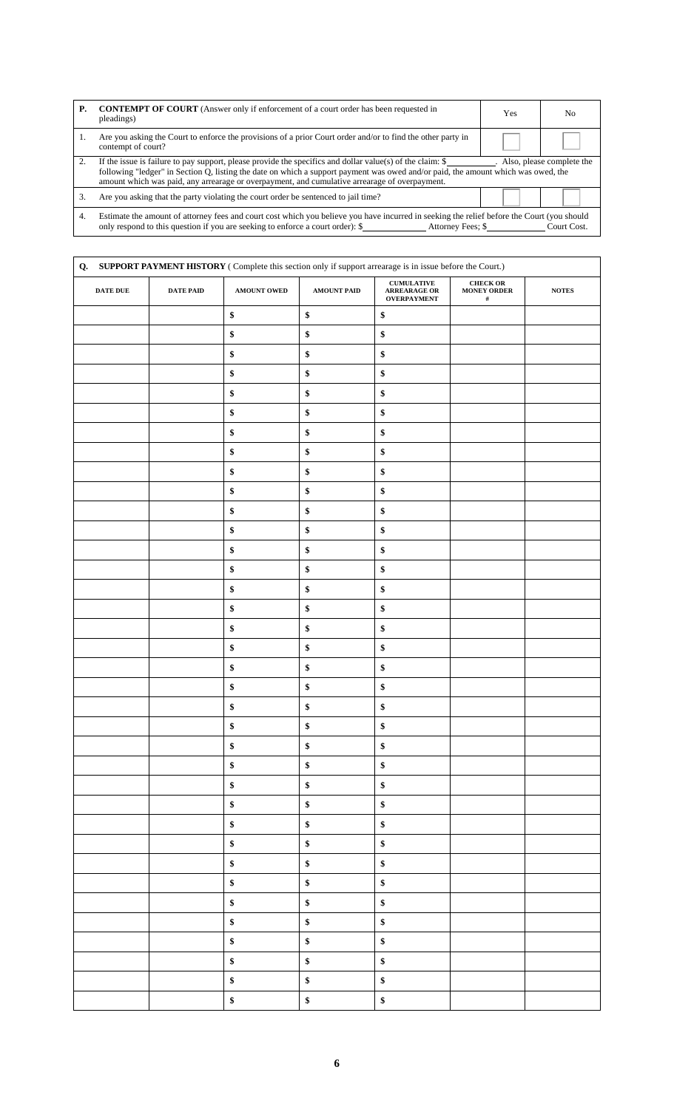| <b>P.</b> | <b>CONTEMPT OF COURT</b> (Answer only if enforcement of a court order has been requested in<br>pleadings)                                                                                                                                                                                                                                                                                 | Yes               | N <sub>0</sub> |  |  |
|-----------|-------------------------------------------------------------------------------------------------------------------------------------------------------------------------------------------------------------------------------------------------------------------------------------------------------------------------------------------------------------------------------------------|-------------------|----------------|--|--|
|           | Are you asking the Court to enforce the provisions of a prior Court order and/or to find the other party in<br>contempt of court?                                                                                                                                                                                                                                                         |                   |                |  |  |
| 2.        | If the issue is failure to pay support, please provide the specifics and dollar value(s) of the claim: $\frac{1}{2}$<br>. Also, please complete the<br>following "ledger" in Section Q, listing the date on which a support payment was owed and/or paid, the amount which was owed, the<br>amount which was paid, any arrearage or overpayment, and cumulative arrearage of overpayment. |                   |                |  |  |
| 3.        | Are you asking that the party violating the court order be sentenced to jail time?                                                                                                                                                                                                                                                                                                        |                   |                |  |  |
| 4.        | Estimate the amount of attorney fees and court cost which you believe you have incurred in seeking the relief before the Court (you should<br>only respond to this question if you are seeking to enforce a court order): \$                                                                                                                                                              | Attorney Fees; \$ | Court Cost.    |  |  |

| SUPPORT PAYMENT HISTORY (Complete this section only if support arrearage is in issue before the Court.)<br>Q.<br>${\bf CUMULATIVE}$<br><b>CHECK OR</b> |           |             |             |                                    |                            |              |
|--------------------------------------------------------------------------------------------------------------------------------------------------------|-----------|-------------|-------------|------------------------------------|----------------------------|--------------|
| DATE DUE                                                                                                                                               | DATE PAID | AMOUNT OWED | AMOUNT PAID | ARREARAGE OR<br><b>OVERPAYMENT</b> | <b>MONEY ORDER</b><br>$\#$ | <b>NOTES</b> |
|                                                                                                                                                        |           | $\$$        | \$          | \$                                 |                            |              |
|                                                                                                                                                        |           | \$          | \$          | \$                                 |                            |              |
|                                                                                                                                                        |           | $\$$        | \$          | \$                                 |                            |              |
|                                                                                                                                                        |           | $\$$        | \$          | \$                                 |                            |              |
|                                                                                                                                                        |           | $\$$        | \$          | \$                                 |                            |              |
|                                                                                                                                                        |           | $\$$        | \$          | $\$$                               |                            |              |
|                                                                                                                                                        |           | $\$$        | \$          | $\$$                               |                            |              |
|                                                                                                                                                        |           | \$          | \$          | \$                                 |                            |              |
|                                                                                                                                                        |           | \$          | $\$$        | $\$$                               |                            |              |
|                                                                                                                                                        |           | $\$$        | \$          | $\$$                               |                            |              |
|                                                                                                                                                        |           | $\pmb{\$}$  | \$          | $\pmb{\$}$                         |                            |              |
|                                                                                                                                                        |           | $\$$        | \$          | \$                                 |                            |              |
|                                                                                                                                                        |           | $\$$        | \$          | $\$$                               |                            |              |
|                                                                                                                                                        |           | \$          | \$          | \$                                 |                            |              |
|                                                                                                                                                        |           | $\$$        | \$          | $\$$                               |                            |              |
|                                                                                                                                                        |           | \$          | \$          | \$                                 |                            |              |
|                                                                                                                                                        |           | $\$$        | $\$$        | $\$$                               |                            |              |
|                                                                                                                                                        |           | $\$$        | \$          | \$                                 |                            |              |
|                                                                                                                                                        |           | $\$$        | $\$$        | $\$$                               |                            |              |
|                                                                                                                                                        |           | \$          | \$          | \$                                 |                            |              |
|                                                                                                                                                        |           | $\$$        | $\$$        | $\$$                               |                            |              |
|                                                                                                                                                        |           | \$          | \$          | \$                                 |                            |              |
|                                                                                                                                                        |           | \$          | \$          | \$                                 |                            |              |
|                                                                                                                                                        |           | $\$$        | \$          | $\$$                               |                            |              |
|                                                                                                                                                        |           | $\$$        | \$          | $\pmb{\$}$                         |                            |              |
|                                                                                                                                                        |           | $\$$        | $\pmb{\$}$  | $\$$                               |                            |              |
|                                                                                                                                                        |           | $\$$        | \$          | $\pmb{\$}$                         |                            |              |
|                                                                                                                                                        |           | $\$$        | \$          | $\pmb{\$}$                         |                            |              |
|                                                                                                                                                        |           | $\pmb{\$}$  | $\$$        | $\pmb{\$}$                         |                            |              |
|                                                                                                                                                        |           | $\$$        | $\$$        | $\pmb{\$}$                         |                            |              |
|                                                                                                                                                        |           | $\pmb{\$}$  | $\$$        | $\$$                               |                            |              |
|                                                                                                                                                        |           | $\$$        | $\$$        | $\$$                               |                            |              |
|                                                                                                                                                        |           | $\$$        | \$          | $\pmb{\$}$                         |                            |              |
|                                                                                                                                                        |           | $\$$        | $\pmb{\$}$  | \$                                 |                            |              |
|                                                                                                                                                        |           | $\$$        | \$          | \$                                 |                            |              |
|                                                                                                                                                        |           | $\pmb{\$}$  | \$          | $\pmb{\$}$                         |                            |              |